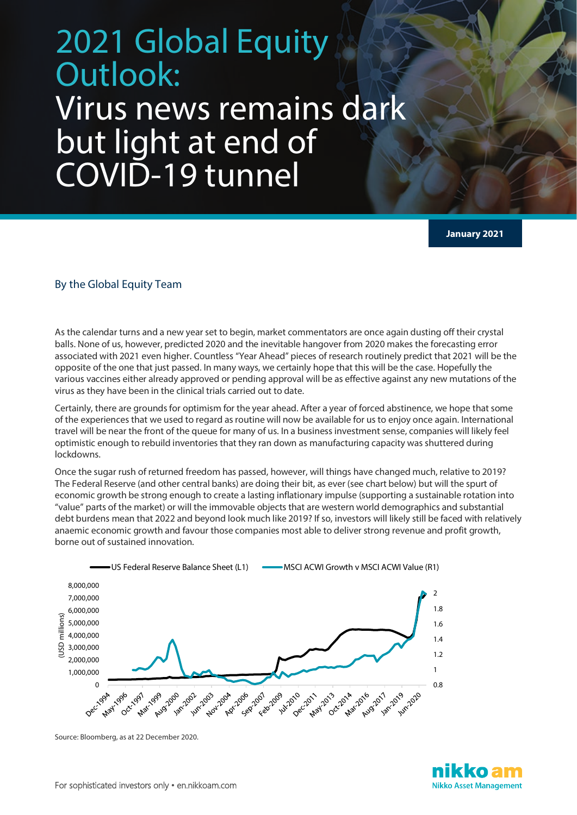## 2021 Global Equity Outlook: Virus news remains dark but light at end of COVID-19 tunnel

**January 2021**

## By the Global Equity Team

As the calendar turns and a new year set to begin, market commentators are once again dusting off their crystal balls. None of us, however, predicted 2020 and the inevitable hangover from 2020 makes the forecasting error associated with 2021 even higher. Countless "Year Ahead" pieces of research routinely predict that 2021 will be the opposite of the one that just passed. In many ways, we certainly hope that this will be the case. Hopefully the various vaccines either already approved or pending approval will be as effective against any new mutations of the virus as they have been in the clinical trials carried out to date.

Certainly, there are grounds for optimism for the year ahead. After a year of forced abstinence, we hope that some of the experiences that we used to regard as routine will now be available for us to enjoy once again. International travel will be near the front of the queue for many of us. In a business investment sense, companies will likely feel optimistic enough to rebuild inventories that they ran down as manufacturing capacity was shuttered during lockdowns.

Once the sugar rush of returned freedom has passed, however, will things have changed much, relative to 2019? The Federal Reserve (and other central banks) are doing their bit, as ever (see chart below) but will the spurt of economic growth be strong enough to create a lasting inflationary impulse (supporting a sustainable rotation into "value" parts of the market) or will the immovable objects that are western world demographics and substantial debt burdens mean that 2022 and beyond look much like 2019? If so, investors will likely still be faced with relatively anaemic economic growth and favour those companies most able to deliver strong revenue and profit growth, borne out of sustained innovation.



Source: Bloomberg, as at 22 December 2020.

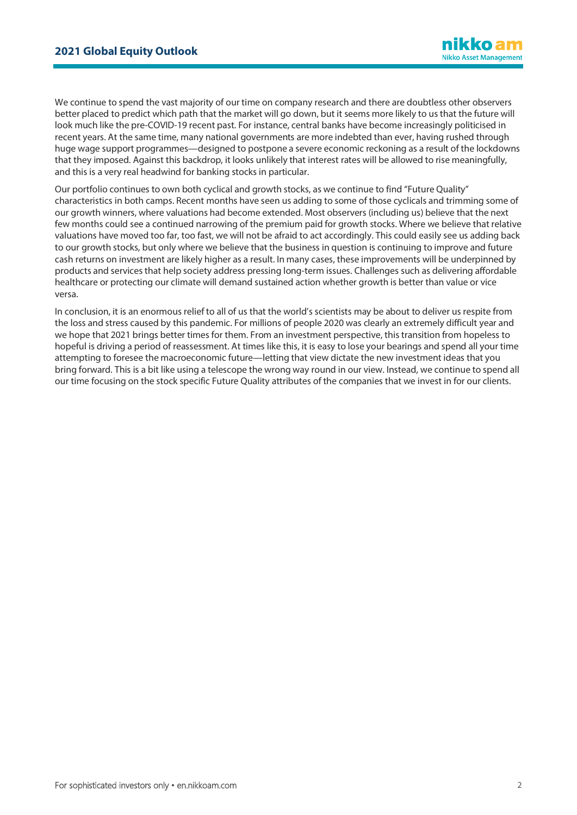We continue to spend the vast majority of our time on company research and there are doubtless other observers better placed to predict which path that the market will go down, but it seems more likely to us that the future will look much like the pre-COVID-19 recent past. For instance, central banks have become increasingly politicised in recent years. At the same time, many national governments are more indebted than ever, having rushed through huge wage support programmes—designed to postpone a severe economic reckoning as a result of the lockdowns that they imposed. Against this backdrop, it looks unlikely that interest rates will be allowed to rise meaningfully, and this is a very real headwind for banking stocks in particular.

Our portfolio continues to own both cyclical and growth stocks, as we continue to find "Future Quality" characteristics in both camps. Recent months have seen us adding to some of those cyclicals and trimming some of our growth winners, where valuations had become extended. Most observers (including us) believe that the next few months could see a continued narrowing of the premium paid for growth stocks. Where we believe that relative valuations have moved too far, too fast, we will not be afraid to act accordingly. This could easily see us adding back to our growth stocks, but only where we believe that the business in question is continuing to improve and future cash returns on investment are likely higher as a result. In many cases, these improvements will be underpinned by products and services that help society address pressing long-term issues. Challenges such as delivering affordable healthcare or protecting our climate will demand sustained action whether growth is better than value or vice versa.

In conclusion, it is an enormous relief to all of us that the world's scientists may be about to deliver us respite from the loss and stress caused by this pandemic. For millions of people 2020 was clearly an extremely difficult year and we hope that 2021 brings better times for them. From an investment perspective, this transition from hopeless to hopeful is driving a period of reassessment. At times like this, it is easy to lose your bearings and spend all your time attempting to foresee the macroeconomic future—letting that view dictate the new investment ideas that you bring forward. This is a bit like using a telescope the wrong way round in our view. Instead, we continue to spend all our time focusing on the stock specific Future Quality attributes of the companies that we invest in for our clients.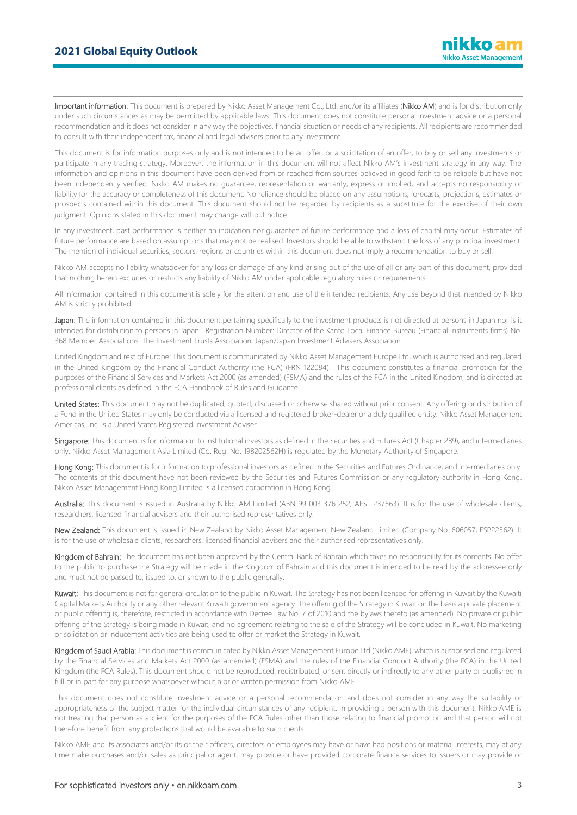Important information: This document is prepared by Nikko Asset Management Co., Ltd. and/or its affiliates (Nikko AM) and is for distribution only under such circumstances as may be permitted by applicable laws. This document does not constitute personal investment advice or a personal recommendation and it does not consider in any way the objectives, financial situation or needs of any recipients. All recipients are recommended to consult with their independent tax, financial and legal advisers prior to any investment.

This document is for information purposes only and is not intended to be an offer, or a solicitation of an offer, to buy or sell any investments or participate in any trading strategy. Moreover, the information in this document will not affect Nikko AM's investment strategy in any way. The information and opinions in this document have been derived from or reached from sources believed in good faith to be reliable but have not been independently verified. Nikko AM makes no guarantee, representation or warranty, express or implied, and accepts no responsibility or liability for the accuracy or completeness of this document. No reliance should be placed on any assumptions, forecasts, projections, estimates or prospects contained within this document. This document should not be regarded by recipients as a substitute for the exercise of their own judgment. Opinions stated in this document may change without notice.

In any investment, past performance is neither an indication nor guarantee of future performance and a loss of capital may occur. Estimates of future performance are based on assumptions that may not be realised. Investors should be able to withstand the loss of any principal investment. The mention of individual securities, sectors, regions or countries within this document does not imply a recommendation to buy or sell.

Nikko AM accepts no liability whatsoever for any loss or damage of any kind arising out of the use of all or any part of this document, provided that nothing herein excludes or restricts any liability of Nikko AM under applicable regulatory rules or requirements.

All information contained in this document is solely for the attention and use of the intended recipients. Any use beyond that intended by Nikko AM is strictly prohibited.

Japan: The information contained in this document pertaining specifically to the investment products is not directed at persons in Japan nor is it intended for distribution to persons in Japan. Registration Number: Director of the Kanto Local Finance Bureau (Financial Instruments firms) No. 368 Member Associations: The Investment Trusts Association, Japan/Japan Investment Advisers Association.

United Kingdom and rest of Europe: This document is communicated by Nikko Asset Management Europe Ltd, which is authorised and regulated in the United Kingdom by the Financial Conduct Authority (the FCA) (FRN 122084). This document constitutes a financial promotion for the purposes of the Financial Services and Markets Act 2000 (as amended) (FSMA) and the rules of the FCA in the United Kingdom, and is directed at professional clients as defined in the FCA Handbook of Rules and Guidance.

United States: This document may not be duplicated, quoted, discussed or otherwise shared without prior consent. Any offering or distribution of a Fund in the United States may only be conducted via a licensed and registered broker-dealer or a duly qualified entity. Nikko Asset Management Americas, Inc. is a United States Registered Investment Adviser.

Singapore: This document is for information to institutional investors as defined in the Securities and Futures Act (Chapter 289), and intermediaries only. Nikko Asset Management Asia Limited (Co. Reg. No. 198202562H) is regulated by the Monetary Authority of Singapore.

Hong Kong: This document is for information to professional investors as defined in the Securities and Futures Ordinance, and intermediaries only. The contents of this document have not been reviewed by the Securities and Futures Commission or any regulatory authority in Hong Kong. Nikko Asset Management Hong Kong Limited is a licensed corporation in Hong Kong.

Australia: This document is issued in Australia by Nikko AM Limited (ABN 99 003 376 252, AFSL 237563). It is for the use of wholesale clients, researchers, licensed financial advisers and their authorised representatives only.

New Zealand: This document is issued in New Zealand by Nikko Asset Management New Zealand Limited (Company No. 606057, FSP22562). It is for the use of wholesale clients, researchers, licensed financial advisers and their authorised representatives only.

Kingdom of Bahrain: The document has not been approved by the Central Bank of Bahrain which takes no responsibility for its contents. No offer to the public to purchase the Strategy will be made in the Kingdom of Bahrain and this document is intended to be read by the addressee only and must not be passed to, issued to, or shown to the public generally.

Kuwait: This document is not for general circulation to the public in Kuwait. The Strategy has not been licensed for offering in Kuwait by the Kuwaiti Capital Markets Authority or any other relevant Kuwaiti government agency. The offering of the Strategy in Kuwait on the basis a private placement or public offering is, therefore, restricted in accordance with Decree Law No. 7 of 2010 and the bylaws thereto (as amended). No private or public offering of the Strategy is being made in Kuwait, and no agreement relating to the sale of the Strategy will be concluded in Kuwait. No marketing or solicitation or inducement activities are being used to offer or market the Strategy in Kuwait.

Kingdom of Saudi Arabia: This document is communicated by Nikko Asset Management Europe Ltd (Nikko AME), which is authorised and regulated by the Financial Services and Markets Act 2000 (as amended) (FSMA) and the rules of the Financial Conduct Authority (the FCA) in the United Kingdom (the FCA Rules). This document should not be reproduced, redistributed, or sent directly or indirectly to any other party or published in full or in part for any purpose whatsoever without a prior written permission from Nikko AME.

This document does not constitute investment advice or a personal recommendation and does not consider in any way the suitability or appropriateness of the subject matter for the individual circumstances of any recipient. In providing a person with this document, Nikko AME is not treating that person as a client for the purposes of the FCA Rules other than those relating to financial promotion and that person will not therefore benefit from any protections that would be available to such clients.

Nikko AME and its associates and/or its or their officers, directors or employees may have or have had positions or material interests, may at any time make purchases and/or sales as principal or agent, may provide or have provided corporate finance services to issuers or may provide or